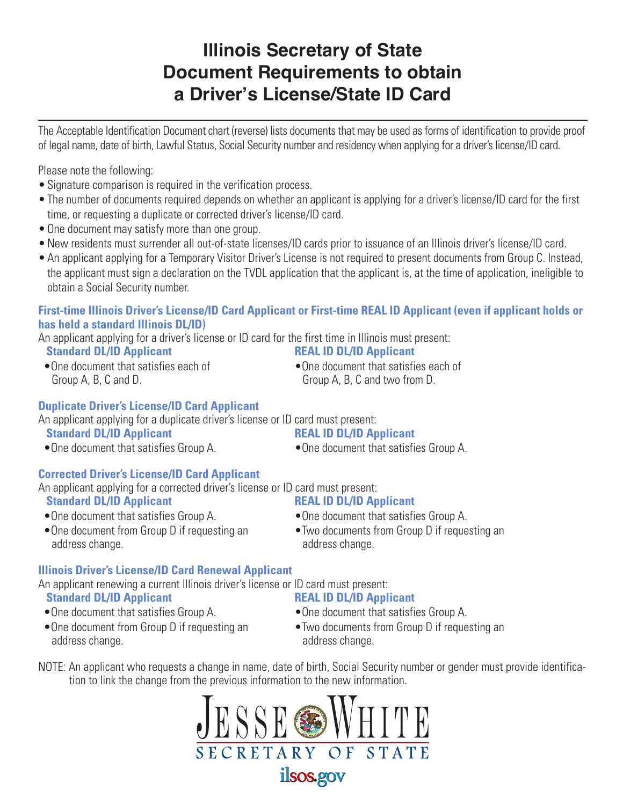# **Illinois Secretary of State Document Requirements to obtain a Driver's License/State ID Card**

The Acceptable Identification Document chart (reverse) lists documents that may be used as forms of identification to provide proof of legal name, date of birth, Lawful Status, Social Security number and residency when applying for a driver's license/ID card.

Please note the following:

- Signature comparison is required in the verification process.
- The number of documents required depends on whether an applicant is applying for a driver's license/ID card for the first time, or requesting a duplicate or corrected driver's license/ID card.
- One document may satisfy more than one group.
- New residents must surrender all out-of-state licenses/ID cards prior to issuance of an Illinois driver's license/ID card.
- An applicant applying for a Temporary Visitor Driver's License is not required to present documents from Group C. Instead, the applicant must sign a declaration on the TVDL application that the applicant is, at the time of application, ineligible to obtain a Social Security number.

### **First-time Illinois Driver's License/ID Card Applicant or First-time REAL ID Applicant (even if applicant holds or has held a standard Illinois DL/ID)**

An applicant applying for a driver's license or ID card for the first time in Illinois must present:

**Standard DL/ID Applicant Standard DL/ID Applicant** 

 •One document that satisfies each of •One document that satisfies each of Group A, B, C and D. Group A, B, C and two from D.

### **Duplicate Driver's License/ID Card Applicant**

An applicant applying for a duplicate driver's license or ID card must present:

### **Standard DL/ID Applicant Contract Contract REAL ID DL/ID Applicant**

•One document that satisfies Group A. • • One document that satisfies Group A.

### **Corrected Driver's License/ID Card Applicant**

An applicant applying for a corrected driver's license or ID card must present:

- 
- 

## **Standard DL/ID Applicant Contract Contract REAL ID DL/ID Applicant**

- •One document that satisfies Group A. •One document that satisfies Group A.
- •One document from Group D if requesting an Two documents from Group D if requesting an address change. The contract of the contract and address change.
- 

### **Illinois Driver's License/ID Card Renewal Applicant**

An applicant renewing a current Illinois driver's license or ID card must present: **Standard DL/ID Applicant 12 12 12 13 13 14 14 15 16 17 18 18 18 19 19 10 17 18 18 18 19 10 17 18 18 19 10 17 18 18 18 19 10 17 18 18 19 10 17 18 18 19 10 17 18 19 10 17 18 19 10 17 18 19 10 17 18 19 10 17 18 19 10 17 18 1** 

- •One document that satisfies Group A. • One document that satisfies Group A.
- address change. The contract of the contract address change.

- 
- •One document from Group D if requesting an Two documents from Group D if requesting an
- NOTE: An applicant who requests a change in name, date of birth, Social Security number or gender must provide identifica tion to link the change from the previous information to the new information.